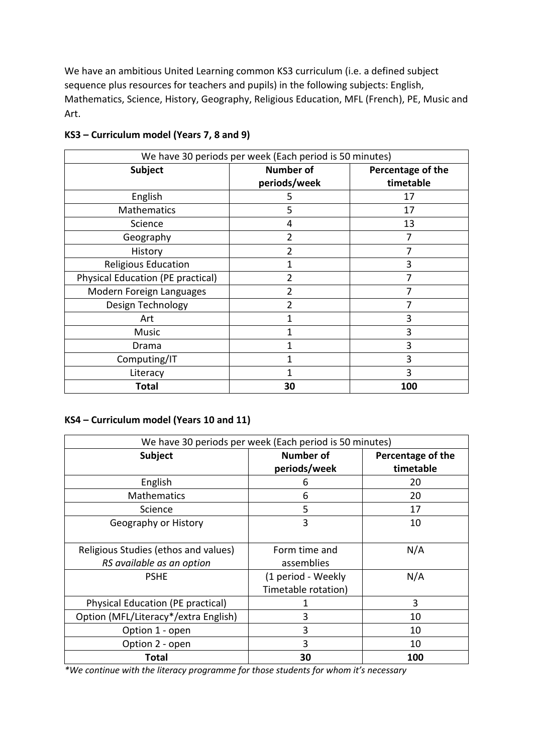We have an ambitious United Learning common KS3 curriculum (i.e. a defined subject sequence plus resources for teachers and pupils) in the following subjects: English, Mathematics, Science, History, Geography, Religious Education, MFL (French), PE, Music and Art.

| We have 30 periods per week (Each period is 50 minutes) |                  |                   |  |  |  |
|---------------------------------------------------------|------------------|-------------------|--|--|--|
| Subject                                                 | <b>Number of</b> | Percentage of the |  |  |  |
|                                                         | periods/week     | timetable         |  |  |  |
| English                                                 | 5                | 17                |  |  |  |
| <b>Mathematics</b>                                      | 5                | 17                |  |  |  |
| Science                                                 | 4                | 13                |  |  |  |
| Geography                                               | 2                |                   |  |  |  |
| History                                                 | 2                |                   |  |  |  |
| <b>Religious Education</b>                              | 1                | 3                 |  |  |  |
| Physical Education (PE practical)                       | 2                |                   |  |  |  |
| Modern Foreign Languages                                | 2                |                   |  |  |  |
| Design Technology                                       |                  |                   |  |  |  |
| Art                                                     |                  | 3                 |  |  |  |
| Music                                                   | 1                | 3                 |  |  |  |
| Drama                                                   |                  | 3                 |  |  |  |
| Computing/IT                                            |                  | 3                 |  |  |  |
| Literacy                                                |                  | 3                 |  |  |  |
| <b>Total</b>                                            | 30               | 100               |  |  |  |

## **KS3 – Curriculum model (Years 7, 8 and 9)**

## **KS4 – Curriculum model (Years 10 and 11)**

| We have 30 periods per week (Each period is 50 minutes)           |                                           |                   |  |  |  |
|-------------------------------------------------------------------|-------------------------------------------|-------------------|--|--|--|
| Subject                                                           | <b>Number of</b>                          | Percentage of the |  |  |  |
|                                                                   | periods/week                              | timetable         |  |  |  |
| English                                                           | 6                                         | 20                |  |  |  |
| <b>Mathematics</b>                                                | 6                                         | 20                |  |  |  |
| Science                                                           | 5                                         | 17                |  |  |  |
| Geography or History                                              | 3                                         | 10                |  |  |  |
| Religious Studies (ethos and values)<br>RS available as an option | Form time and<br>assemblies               | N/A               |  |  |  |
| <b>PSHE</b>                                                       | (1 period - Weekly<br>Timetable rotation) | N/A               |  |  |  |
| Physical Education (PE practical)                                 | 1                                         | 3                 |  |  |  |
| Option (MFL/Literacy*/extra English)                              | 3                                         | 10                |  |  |  |
| Option 1 - open                                                   | 3                                         | 10                |  |  |  |
| Option 2 - open                                                   | 3                                         | 10                |  |  |  |
| Total                                                             | 30                                        | 100               |  |  |  |

*\*We continue with the literacy programme for those students for whom it's necessary*